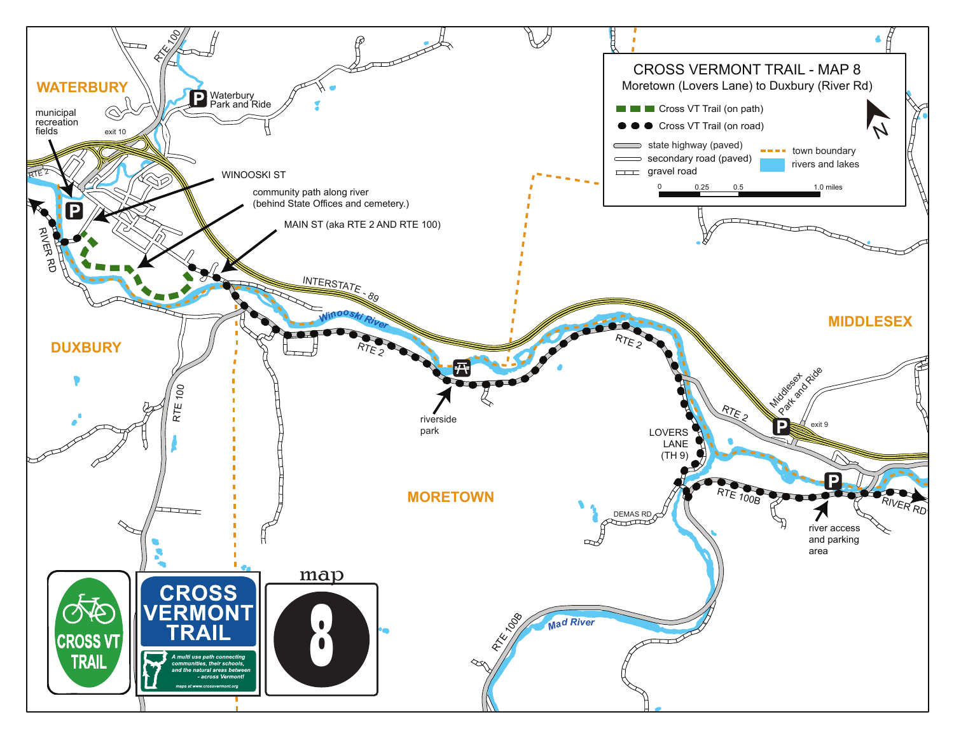